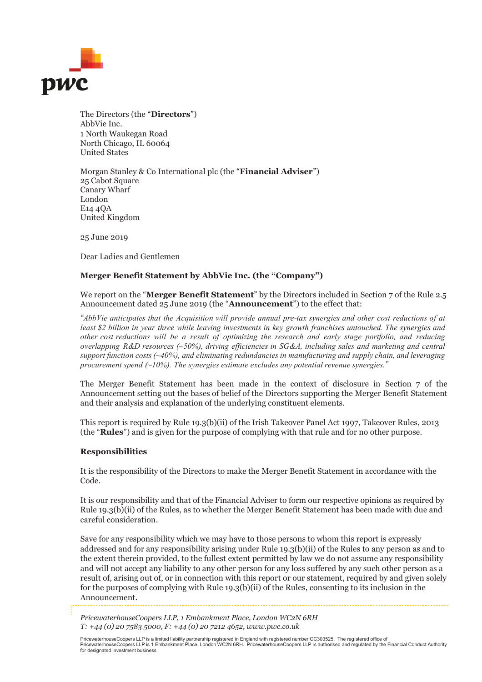

The Directors (the "**Directors**") AbbVie Inc. 1 North Waukegan Road North Chicago, IL 60064 United States

Morgan Stanley & Co International plc (the "**Financial Adviser**") 25 Cabot Square Canary Wharf London E14 4QA United Kingdom

25 June 2019

Dear Ladies and Gentlemen

## **Merger Benefit Statement by AbbVie Inc. (the "Company")**

We report on the "**Merger Benefit Statement**" by the Directors included in Section 7 of the Rule 2.5 Announcement dated 25 June 2019 (the "**Announcement**") to the effect that:

*"AbbVie anticipates that the Acquisition will provide annual pre-tax synergies and other cost reductions of at least \$2 billion in year three while leaving investments in key growth franchises untouched. The synergies and other cost reductions will be a result of optimizing the research and early stage portfolio, and reducing overlapping R&D resources (~50%), driving efficiencies in SG&A, including sales and marketing and central support function costs (~40%), and eliminating redundancies in manufacturing and supply chain, and leveraging procurement spend (~10%). The synergies estimate excludes any potential revenue synergies."*

The Merger Benefit Statement has been made in the context of disclosure in Section 7 of the Announcement setting out the bases of belief of the Directors supporting the Merger Benefit Statement and their analysis and explanation of the underlying constituent elements.

This report is required by Rule 19.3(b)(ii) of the Irish Takeover Panel Act 1997, Takeover Rules, 2013 (the "**Rules**") and is given for the purpose of complying with that rule and for no other purpose.

## **Responsibilities**

It is the responsibility of the Directors to make the Merger Benefit Statement in accordance with the Code.

It is our responsibility and that of the Financial Adviser to form our respective opinions as required by Rule 19.3(b)(ii) of the Rules, as to whether the Merger Benefit Statement has been made with due and careful consideration.

Save for any responsibility which we may have to those persons to whom this report is expressly addressed and for any responsibility arising under Rule 19.3(b)(ii) of the Rules to any person as and to the extent therein provided, to the fullest extent permitted by law we do not assume any responsibility and will not accept any liability to any other person for any loss suffered by any such other person as a result of, arising out of, or in connection with this report or our statement, required by and given solely for the purposes of complying with Rule 19.3(b)(ii) of the Rules, consenting to its inclusion in the Announcement.

*PricewaterhouseCoopers LLP, 1 Embankment Place, London WC2N 6RH T: +44 (0) 20 7583 5000, F: +44 (0) 20 7212 4652, www.pwc.co.uk* 

PricewaterhouseCoopers LLP is a limited liability partnership registered in England with registered number OC303525. The registered office of<br>PricewaterhouseCoopers LLP is 1 Embankment Place, London WC2N 6RH. Pricewaterh for designated investment business.